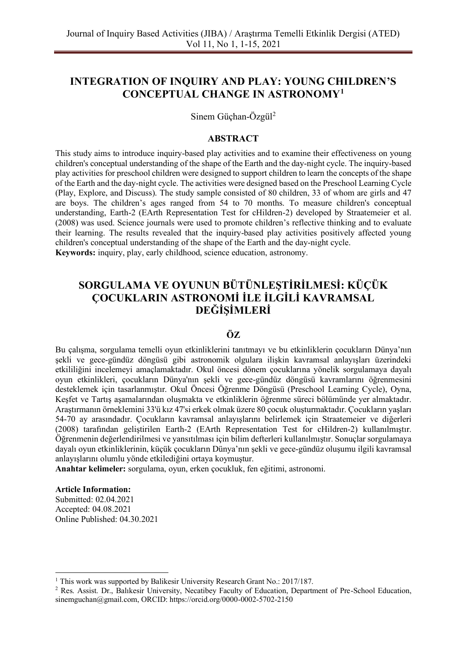# **INTEGRATION OF INQUIRY AND PLAY: YOUNG CHILDREN'S CONCEPTUAL CHANGE IN ASTRONOMY<sup>1</sup>**

Sinem Güçhan-Özgül<sup>2</sup>

# **ABSTRACT**

This study aims to introduce inquiry-based play activities and to examine their effectiveness on young children's conceptual understanding of the shape of the Earth and the day-night cycle. The inquiry-based play activities for preschool children were designed to support children to learn the concepts of the shape of the Earth and the day-night cycle. The activities were designed based on the Preschool Learning Cycle (Play, Explore, and Discuss). The study sample consisted of 80 children, 33 of whom are girls and 47 are boys. The children's ages ranged from 54 to 70 months. To measure children's conceptual understanding, Earth-2 (EArth Representation Test for cHildren-2) developed by Straatemeier et al. (2008) was used. Science journals were used to promote children's reflective thinking and to evaluate their learning. The results revealed that the inquiry-based play activities positively affected young children's conceptual understanding of the shape of the Earth and the day-night cycle. **Keywords:** inquiry, play, early childhood, science education, astronomy.

# **SORGULAMA VE OYUNUN BÜTÜNLEŞTİRİLMESİ: KÜÇÜK ÇOCUKLARIN ASTRONOMİ İLE İLGİLİ KAVRAMSAL DEĞİŞİMLERİ**

# **ÖZ**

Bu çalışma, sorgulama temelli oyun etkinliklerini tanıtmayı ve bu etkinliklerin çocukların Dünya'nın şekli ve gece-gündüz döngüsü gibi astronomik olgulara ilişkin kavramsal anlayışları üzerindeki etkililiğini incelemeyi amaçlamaktadır. Okul öncesi dönem çocuklarına yönelik sorgulamaya dayalı oyun etkinlikleri, çocukların Dünya'nın şekli ve gece-gündüz döngüsü kavramlarını öğrenmesini desteklemek için tasarlanmıştır. Okul Öncesi Öğrenme Döngüsü (Preschool Learning Cycle), Oyna, Keşfet ve Tartış aşamalarından oluşmakta ve etkinliklerin öğrenme süreci bölümünde yer almaktadır. Araştırmanın örneklemini 33'ü kız 47'si erkek olmak üzere 80 çocuk oluşturmaktadır. Çocukların yaşları 54-70 ay arasındadır. Çocukların kavramsal anlayışlarını belirlemek için Straatemeier ve diğerleri (2008) tarafından geliştirilen Earth-2 (EArth Representation Test for cHildren-2) kullanılmıştır. Öğrenmenin değerlendirilmesi ve yansıtılması için bilim defterleri kullanılmıştır. Sonuçlar sorgulamaya dayalı oyun etkinliklerinin, küçük çocukların Dünya'nın şekli ve gece-gündüz oluşumu ilgili kavramsal anlayışlarını olumlu yönde etkilediğini ortaya koymuştur.

**Anahtar kelimeler:** sorgulama, oyun, erken çocukluk, fen eğitimi, astronomi.

#### **Article Information:**

Submitted: 02.04.2021 Accepted: 04.08.2021 Online Published: 04.30.2021

<sup>&</sup>lt;sup>1</sup> This work was supported by Balikesir University Research Grant No.: 2017/187.

<sup>2</sup> Res. Assist. Dr., Balıkesir University, Necatibey Faculty of Education, Department of Pre-School Education, sinemguchan@gmail.com, ORCID: https://orcid.org/0000-0002-5702-2150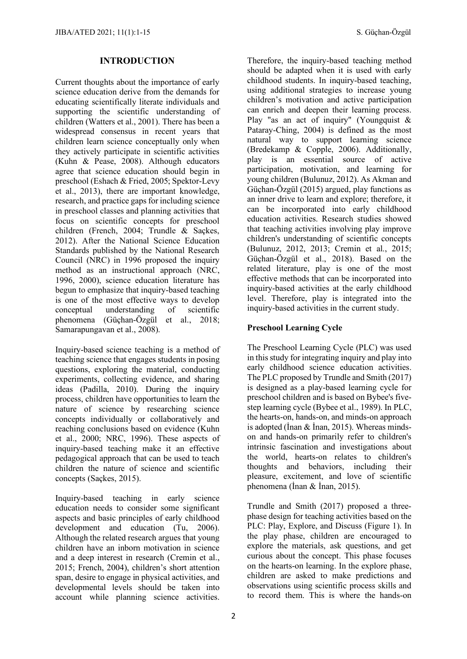#### **INTRODUCTION**

Current thoughts about the importance of early science education derive from the demands for educating scientifically literate individuals and supporting the scientific understanding of children (Watters et al., 2001). There has been a widespread consensus in recent years that children learn science conceptually only when they actively participate in scientific activities (Kuhn & Pease, 2008). Although educators agree that science education should begin in preschool (Eshach & Fried, 2005; Spektor-Levy et al., 2013), there are important knowledge, research, and practice gaps for including science in preschool classes and planning activities that focus on scientific concepts for preschool children (French, 2004; Trundle & Saçkes, 2012). After the National Science Education Standards published by the National Research Council (NRC) in 1996 proposed the inquiry method as an instructional approach (NRC, 1996, 2000), science education literature has begun to emphasize that inquiry-based teaching is one of the most effective ways to develop conceptual understanding of scientific phenomena (Güçhan-Özgül et al., 2018; Samarapungavan et al., 2008).

Inquiry-based science teaching is a method of teaching science that engages students in posing questions, exploring the material, conducting experiments, collecting evidence, and sharing ideas (Padilla, 2010). During the inquiry process, children have opportunities to learn the nature of science by researching science concepts individually or collaboratively and reaching conclusions based on evidence (Kuhn et al., 2000; NRC, 1996). These aspects of inquiry-based teaching make it an effective pedagogical approach that can be used to teach children the nature of science and scientific concepts (Saçkes, 2015).

Inquiry-based teaching in early science education needs to consider some significant aspects and basic principles of early childhood development and education (Tu, 2006). Although the related research argues that young children have an inborn motivation in science and a deep interest in research (Cremin et al., 2015; French, 2004), children's short attention span, desire to engage in physical activities, and developmental levels should be taken into account while planning science activities.

Therefore, the inquiry-based teaching method should be adapted when it is used with early childhood students. In inquiry-based teaching, using additional strategies to increase young children's motivation and active participation can enrich and deepen their learning process. Play "as an act of inquiry" (Youngquist & Pataray-Ching, 2004) is defined as the most natural way to support learning science (Bredekamp & Copple, 2006). Additionally, play is an essential source of active participation, motivation, and learning for young children (Bulunuz, 2012). As Akman and Güçhan-Özgül (2015) argued, play functions as an inner drive to learn and explore; therefore, it can be incorporated into early childhood education activities. Research studies showed that teaching activities involving play improve children's understanding of scientific concepts (Bulunuz, 2012, 2013; Cremin et al., 2015; Güçhan-Özgül et al., 2018). Based on the related literature, play is one of the most effective methods that can be incorporated into inquiry-based activities at the early childhood level. Therefore, play is integrated into the inquiry-based activities in the current study.

## **Preschool Learning Cycle**

The Preschool Learning Cycle (PLC) was used in this study for integrating inquiry and play into early childhood science education activities. The PLC proposed by Trundle and Smith (2017) is designed as a play-based learning cycle for preschool children and is based on Bybee's fivestep learning cycle (Bybee et al., 1989). In PLC, the hearts-on, hands-on, and minds-on approach is adopted (İnan & İnan, 2015). Whereas mindson and hands-on primarily refer to children's intrinsic fascination and investigations about the world, hearts-on relates to children's thoughts and behaviors, including their pleasure, excitement, and love of scientific phenomena (İnan & İnan, 2015).

Trundle and Smith (2017) proposed a threephase design for teaching activities based on the PLC: Play, Explore, and Discuss (Figure 1). In the play phase, children are encouraged to explore the materials, ask questions, and get curious about the concept. This phase focuses on the hearts-on learning. In the explore phase, children are asked to make predictions and observations using scientific process skills and to record them. This is where the hands-on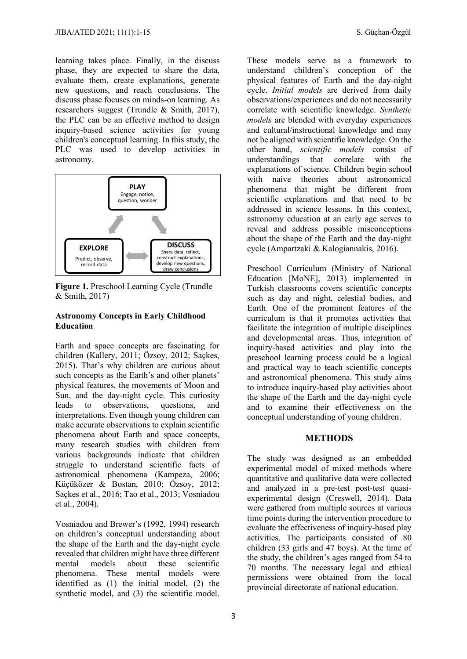learning takes place. Finally, in the discuss phase, they are expected to share the data, evaluate them, create explanations, generate new questions, and reach conclusions. The discuss phase focuses on minds-on learning. As researchers suggest (Trundle & Smith, 2017), the PLC can be an effective method to design inquiry-based science activities for young children's conceptual learning. In this study, the PLC was used to develop activities in astronomy.



**Figure 1.** Preschool Learning Cycle (Trundle & Smith, 2017)

#### **Astronomy Concepts in Early Childhood Education**

Earth and space concepts are fascinating for children (Kallery, 2011; Özsoy, 2012; Saçkes, 2015). That's why children are curious about such concepts as the Earth's and other planets' physical features, the movements of Moon and Sun, and the day-night cycle. This curiosity leads to observations, questions, and interpretations. Even though young children can make accurate observations to explain scientific phenomena about Earth and space concepts, many research studies with children from various backgrounds indicate that children struggle to understand scientific facts of astronomical phenomena (Kampeza, 2006; Küçüközer & Bostan, 2010; Özsoy, 2012; Saçkes et al., 2016; Tao et al., 2013; Vosniadou et al., 2004).

Vosniadou and Brewer's (1992, 1994) research on children's conceptual understanding about the shape of the Earth and the day-night cycle revealed that children might have three different mental models about these scientific phenomena. These mental models were identified as (1) the initial model, (2) the synthetic model, and (3) the scientific model.

These models serve as a framework to understand children's conception of the physical features of Earth and the day-night cycle. *Initial models* are derived from daily observations/experiences and do not necessarily correlate with scientific knowledge. *Synthetic models* are blended with everyday experiences and cultural/instructional knowledge and may not be aligned with scientific knowledge. On the other hand, *scientific models* consist of understandings that correlate with the explanations of science. Children begin school with naive theories about astronomical phenomena that might be different from scientific explanations and that need to be addressed in science lessons. In this context, astronomy education at an early age serves to reveal and address possible misconceptions about the shape of the Earth and the day-night cycle (Ampartzaki & Kalogiannakis, 2016).

Preschool Curriculum (Ministry of National Education [MoNE], 2013) implemented in Turkish classrooms covers scientific concepts such as day and night, celestial bodies, and Earth. One of the prominent features of the curriculum is that it promotes activities that facilitate the integration of multiple disciplines and developmental areas. Thus, integration of inquiry-based activities and play into the preschool learning process could be a logical and practical way to teach scientific concepts and astronomical phenomena. This study aims to introduce inquiry-based play activities about the shape of the Earth and the day-night cycle and to examine their effectiveness on the conceptual understanding of young children.

#### **METHODS**

The study was designed as an embedded experimental model of mixed methods where quantitative and qualitative data were collected and analyzed in a pre-test post-test quasiexperimental design (Creswell, 2014). Data were gathered from multiple sources at various time points during the intervention procedure to evaluate the effectiveness of inquiry-based play activities. The participants consisted of 80 children (33 girls and 47 boys). At the time of the study, the children's ages ranged from 54 to 70 months. The necessary legal and ethical permissions were obtained from the local provincial directorate of national education.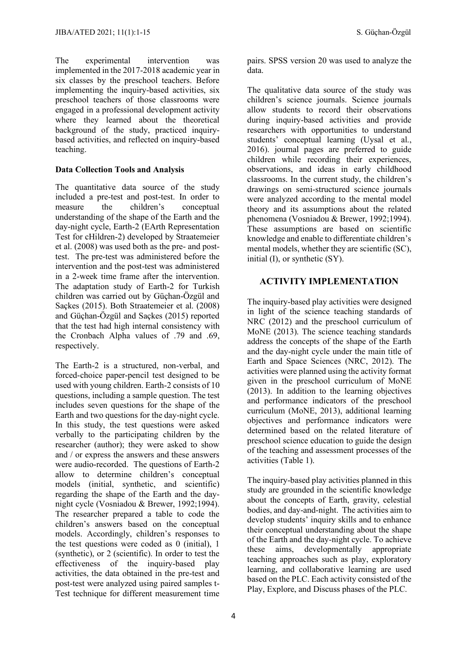The experimental intervention was implemented in the 2017-2018 academic year in six classes by the preschool teachers. Before implementing the inquiry-based activities, six preschool teachers of those classrooms were engaged in a professional development activity where they learned about the theoretical background of the study, practiced inquirybased activities, and reflected on inquiry-based teaching.

#### **Data Collection Tools and Analysis**

The quantitative data source of the study included a pre-test and post-test. In order to measure the children's conceptual understanding of the shape of the Earth and the day-night cycle, Earth-2 (EArth Representation Test for cHildren-2) developed by Straatemeier et al. (2008) was used both as the pre- and posttest. The pre-test was administered before the intervention and the post-test was administered in a 2-week time frame after the intervention. The adaptation study of Earth-2 for Turkish children was carried out by Güçhan-Özgül and Saçkes (2015). Both Straatemeier et al. (2008) and Güçhan-Özgül and Saçkes (2015) reported that the test had high internal consistency with the Cronbach Alpha values of .79 and .69, respectively.

The Earth-2 is a structured, non-verbal, and forced-choice paper-pencil test designed to be used with young children. Earth-2 consists of 10 questions, including a sample question. The test includes seven questions for the shape of the Earth and two questions for the day-night cycle. In this study, the test questions were asked verbally to the participating children by the researcher (author); they were asked to show and / or express the answers and these answers were audio-recorded. The questions of Earth-2 allow to determine children's conceptual models (initial, synthetic, and scientific) regarding the shape of the Earth and the daynight cycle (Vosniadou & Brewer, 1992;1994). The researcher prepared a table to code the children's answers based on the conceptual models. Accordingly, children's responses to the test questions were coded as 0 (initial), 1 (synthetic), or 2 (scientific). In order to test the effectiveness of the inquiry-based play activities, the data obtained in the pre-test and post-test were analyzed using paired samples t-Test technique for different measurement time pairs. SPSS version 20 was used to analyze the data.

The qualitative data source of the study was children's science journals. Science journals allow students to record their observations during inquiry-based activities and provide researchers with opportunities to understand students' conceptual learning (Uysal et al., 2016). journal pages are preferred to guide children while recording their experiences, observations, and ideas in early childhood classrooms. In the current study, the children's drawings on semi-structured science journals were analyzed according to the mental model theory and its assumptions about the related phenomena (Vosniadou & Brewer, 1992;1994). These assumptions are based on scientific knowledge and enable to differentiate children's mental models, whether they are scientific (SC), initial (I), or synthetic (SY).

# **ACTIVITY IMPLEMENTATION**

The inquiry-based play activities were designed in light of the science teaching standards of NRC (2012) and the preschool curriculum of MoNE (2013). The science teaching standards address the concepts of the shape of the Earth and the day-night cycle under the main title of Earth and Space Sciences (NRC, 2012). The activities were planned using the activity format given in the preschool curriculum of MoNE (2013). In addition to the learning objectives and performance indicators of the preschool curriculum (MoNE, 2013), additional learning objectives and performance indicators were determined based on the related literature of preschool science education to guide the design of the teaching and assessment processes of the activities (Table 1).

The inquiry-based play activities planned in this study are grounded in the scientific knowledge about the concepts of Earth, gravity, celestial bodies, and day-and-night. The activities aim to develop students' inquiry skills and to enhance their conceptual understanding about the shape of the Earth and the day-night cycle. To achieve these aims, developmentally appropriate teaching approaches such as play, exploratory learning, and collaborative learning are used based on the PLC. Each activity consisted of the Play, Explore, and Discuss phases of the PLC.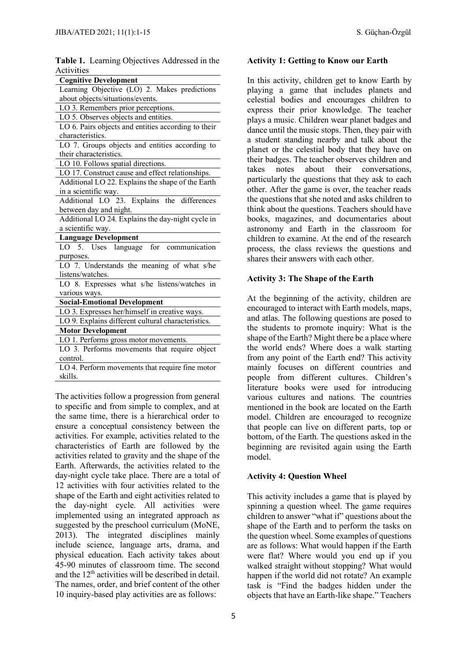| <b>Cognitive Development</b>                        |
|-----------------------------------------------------|
| Learning Objective (LO) 2. Makes predictions        |
| about objects/situations/events.                    |
| LO 3. Remembers prior perceptions.                  |
| LO 5. Observes objects and entities.                |
| LO 6. Pairs objects and entities according to their |
| characteristics.                                    |
| LO 7. Groups objects and entities according to      |
| their characteristics.                              |
| LO 10. Follows spatial directions.                  |
| LO 17. Construct cause and effect relationships.    |
| Additional LO 22. Explains the shape of the Earth   |
| in a scientific way.                                |
| Additional LO 23. Explains the differences          |
| between day and night.                              |
| Additional LO 24. Explains the day-night cycle in   |
| a scientific way.                                   |
| <b>Language Development</b>                         |
| for communication<br>LO 5. Uses language            |
| purposes.                                           |
| LO 7. Understands the meaning of what s/he          |
| listens/watches.                                    |
| LO 8. Expresses what s/he listens/watches in        |
| various ways.                                       |
| <b>Social-Emotional Development</b>                 |
| LO 3. Expresses her/himself in creative ways.       |
| LO 9. Explains different cultural characteristics.  |
| <b>Motor Development</b>                            |
| LO 1. Performs gross motor movements.               |
| LO 3. Performs movements that require object        |
|                                                     |

**Table 1.** Learning Objectives Addressed in the Activities

control.

LO 4. Perform movements that require fine motor skills.

The activities follow a progression from general to specific and from simple to complex, and at the same time, there is a hierarchical order to ensure a conceptual consistency between the activities. For example, activities related to the characteristics of Earth are followed by the activities related to gravity and the shape of the Earth. Afterwards, the activities related to the day-night cycle take place. There are a total of 12 activities with four activities related to the shape of the Earth and eight activities related to the day-night cycle. All activities were implemented using an integrated approach as suggested by the preschool curriculum (MoNE, 2013). The integrated disciplines mainly include science, language arts, drama, and physical education. Each activity takes about 45-90 minutes of classroom time. The second and the  $12<sup>th</sup>$  activities will be described in detail. The names, order, and brief content of the other 10 inquiry-based play activities are as follows:

#### **Activity 1: Getting to Know our Earth**

In this activity, children get to know Earth by playing a game that includes planets and celestial bodies and encourages children to express their prior knowledge. The teacher plays a music. Children wear planet badges and dance until the music stops. Then, they pair with a student standing nearby and talk about the planet or the celestial body that they have on their badges. The teacher observes children and takes notes about their conversations particularly the questions that they ask to each other. After the game is over, the teacher reads the questions that she noted and asks children to think about the questions. Teachers should have books, magazines, and documentaries about astronomy and Earth in the classroom for children to examine. At the end of the research process, the class reviews the questions and shares their answers with each other.

#### **Activity 3: The Shape of the Earth**

At the beginning of the activity, children are encouraged to interact with Earth models, maps, and atlas. The following questions are posed to the students to promote inquiry: What is the shape of the Earth? Might there be a place where the world ends? Where does a walk starting from any point of the Earth end? This activity mainly focuses on different countries and people from different cultures. Children's literature books were used for introducing various cultures and nations. The countries mentioned in the book are located on the Earth model. Children are encouraged to recognize that people can live on different parts, top or bottom, of the Earth. The questions asked in the beginning are revisited again using the Earth model.

#### **Activity 4: Question Wheel**

This activity includes a game that is played by spinning a question wheel. The game requires children to answer "what if" questions about the shape of the Earth and to perform the tasks on the question wheel. Some examples of questions are as follows: What would happen if the Earth were flat? Where would you end up if you walked straight without stopping? What would happen if the world did not rotate? An example task is "Find the badges hidden under the objects that have an Earth-like shape." Teachers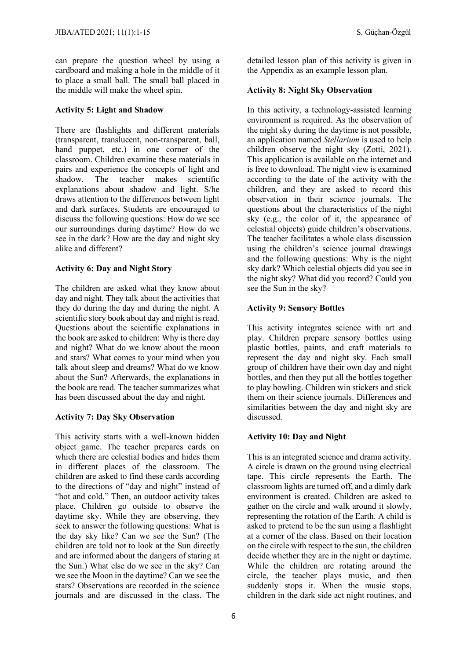can prepare the question wheel by using a cardboard and making a hole in the middle of it to place a small ball. The small ball placed in the middle will make the wheel spin.

## **Activity 5: Light and Shadow**

There are flashlights and different materials (transparent, translucent, non-transparent, ball, hand puppet, etc.) in one corner of the classroom. Children examine these materials in pairs and experience the concepts of light and<br>shadow. The teacher makes scientific shadow. The teacher makes scientific explanations about shadow and light. S/he draws attention to the differences between light and dark surfaces. Students are encouraged to discuss the following questions: How do we see our surroundings during daytime? How do we see in the dark? How are the day and night sky alike and different?

## **Activity 6: Day and Night Story**

The children are asked what they know about day and night. They talk about the activities that they do during the day and during the night. A scientific story book about day and night is read. Questions about the scientific explanations in the book are asked to children: Why is there day and night? What do we know about the moon and stars? What comes to your mind when you talk about sleep and dreams? What do we know about the Sun? Afterwards, the explanations in the book are read. The teacher summarizes what has been discussed about the day and night.

# **Activity 7: Day Sky Observation**

This activity starts with a well-known hidden object game. The teacher prepares cards on which there are celestial bodies and hides them in different places of the classroom. The children are asked to find these cards according to the directions of "day and night" instead of "hot and cold." Then, an outdoor activity takes place. Children go outside to observe the daytime sky. While they are observing, they seek to answer the following questions: What is the day sky like? Can we see the Sun? (The children are told not to look at the Sun directly and are informed about the dangers of staring at the Sun.) What else do we see in the sky? Can we see the Moon in the daytime? Can we see the stars? Observations are recorded in the science journals and are discussed in the class. The

detailed lesson plan of this activity is given in the Appendix as an example lesson plan.

## **Activity 8: Night Sky Observation**

In this activity, a technology-assisted learning environment is required. As the observation of the night sky during the daytime is not possible, an application named *Stellarium* is used to help children observe the night sky (Zotti, 2021). This application is available on the internet and is free to download. The night view is examined according to the date of the activity with the children, and they are asked to record this observation in their science journals. The questions about the characteristics of the night sky (e.g., the color of it, the appearance of celestial objects) guide children's observations. The teacher facilitates a whole class discussion using the children's science journal drawings and the following questions: Why is the night sky dark? Which celestial objects did you see in the night sky? What did you record? Could you see the Sun in the sky?

# **Activity 9: Sensory Bottles**

This activity integrates science with art and play. Children prepare sensory bottles using plastic bottles, paints, and craft materials to represent the day and night sky. Each small group of children have their own day and night bottles, and then they put all the bottles together to play bowling. Children win stickers and stick them on their science journals. Differences and similarities between the day and night sky are discussed.

# **Activity 10: Day and Night**

This is an integrated science and drama activity. A circle is drawn on the ground using electrical tape. This circle represents the Earth. The classroom lights are turned off, and a dimly dark environment is created. Children are asked to gather on the circle and walk around it slowly, representing the rotation of the Earth. A child is asked to pretend to be the sun using a flashlight at a corner of the class. Based on their location on the circle with respect to the sun, the children decide whether they are in the night or daytime. While the children are rotating around the circle, the teacher plays music, and then suddenly stops it. When the music stops, children in the dark side act night routines, and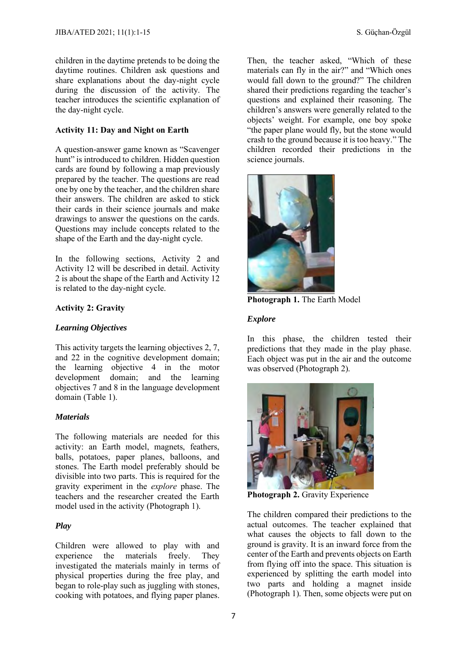children in the daytime pretends to be doing the daytime routines. Children ask questions and share explanations about the day-night cycle during the discussion of the activity. The teacher introduces the scientific explanation of the day-night cycle.

## **Activity 11: Day and Night on Earth**

A question-answer game known as "Scavenger hunt" is introduced to children. Hidden question cards are found by following a map previously prepared by the teacher. The questions are read one by one by the teacher, and the children share their answers. The children are asked to stick their cards in their science journals and make drawings to answer the questions on the cards. Questions may include concepts related to the shape of the Earth and the day-night cycle.

In the following sections, Activity 2 and Activity 12 will be described in detail. Activity 2 is about the shape of the Earth and Activity 12 is related to the day-night cycle.

# **Activity 2: Gravity**

## *Learning Objectives*

This activity targets the learning objectives 2, 7, and 22 in the cognitive development domain; the learning objective 4 in the motor development domain; and the learning objectives 7 and 8 in the language development domain (Table 1).

#### *Materials*

The following materials are needed for this activity: an Earth model, magnets, feathers, balls, potatoes, paper planes, balloons, and stones. The Earth model preferably should be divisible into two parts. This is required for the gravity experiment in the *explore* phase. The teachers and the researcher created the Earth model used in the activity (Photograph 1).

## *Play*

Children were allowed to play with and experience the materials freely. They investigated the materials mainly in terms of physical properties during the free play, and began to role-play such as juggling with stones, cooking with potatoes, and flying paper planes.

Then, the teacher asked, "Which of these materials can fly in the air?" and "Which ones would fall down to the ground?" The children shared their predictions regarding the teacher's questions and explained their reasoning. The children's answers were generally related to the objects' weight. For example, one boy spoke "the paper plane would fly, but the stone would crash to the ground because it is too heavy." The children recorded their predictions in the science journals.



Photograph 1. The Earth Model

## *Explore*

In this phase, the children tested their predictions that they made in the play phase. Each object was put in the air and the outcome was observed (Photograph 2).



**Photograph 2.** Gravity Experience

The children compared their predictions to the actual outcomes. The teacher explained that what causes the objects to fall down to the ground is gravity. It is an inward force from the center of the Earth and prevents objects on Earth from flying off into the space. This situation is experienced by splitting the earth model into two parts and holding a magnet inside (Photograph 1). Then, some objects were put on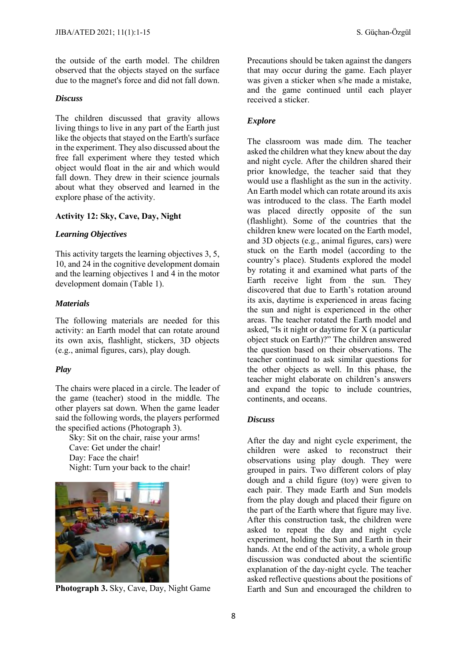the outside of the earth model. The children observed that the objects stayed on the surface due to the magnet's force and did not fall down.

## *Discuss*

The children discussed that gravity allows living things to live in any part of the Earth just like the objects that stayed on the Earth's surface in the experiment. They also discussed about the free fall experiment where they tested which object would float in the air and which would fall down. They drew in their science journals about what they observed and learned in the explore phase of the activity.

## **Activity 12: Sky, Cave, Day, Night**

## *Learning Objectives*

This activity targets the learning objectives 3, 5, 10, and 24 in the cognitive development domain and the learning objectives 1 and 4 in the motor development domain (Table 1).

# *Materials*

The following materials are needed for this activity: an Earth model that can rotate around its own axis, flashlight, stickers, 3D objects (e.g., animal figures, cars), play dough.

# *Play*

The chairs were placed in a circle. The leader of the game (teacher) stood in the middle. The other players sat down. When the game leader said the following words, the players performed the specified actions (Photograph 3).

Sky: Sit on the chair, raise your arms! Cave: Get under the chair! Day: Face the chair! Night: Turn your back to the chair!



**Photograph 3.** Sky, Cave, Day, Night Game

Precautions should be taken against the dangers that may occur during the game. Each player was given a sticker when s/he made a mistake, and the game continued until each player received a sticker.

# *Explore*

The classroom was made dim. The teacher asked the children what they knew about the day and night cycle. After the children shared their prior knowledge, the teacher said that they would use a flashlight as the sun in the activity. An Earth model which can rotate around its axis was introduced to the class. The Earth model was placed directly opposite of the sun (flashlight). Some of the countries that the children knew were located on the Earth model, and 3D objects (e.g., animal figures, cars) were stuck on the Earth model (according to the country's place). Students explored the model by rotating it and examined what parts of the Earth receive light from the sun. They discovered that due to Earth's rotation around its axis, daytime is experienced in areas facing the sun and night is experienced in the other areas. The teacher rotated the Earth model and asked, "Is it night or daytime for X (a particular object stuck on Earth)?" The children answered the question based on their observations. The teacher continued to ask similar questions for the other objects as well. In this phase, the teacher might elaborate on children's answers and expand the topic to include countries, continents, and oceans.

# *Discuss*

After the day and night cycle experiment, the children were asked to reconstruct their observations using play dough. They were grouped in pairs. Two different colors of play dough and a child figure (toy) were given to each pair. They made Earth and Sun models from the play dough and placed their figure on the part of the Earth where that figure may live. After this construction task, the children were asked to repeat the day and night cycle experiment, holding the Sun and Earth in their hands. At the end of the activity, a whole group discussion was conducted about the scientific explanation of the day-night cycle. The teacher asked reflective questions about the positions of Earth and Sun and encouraged the children to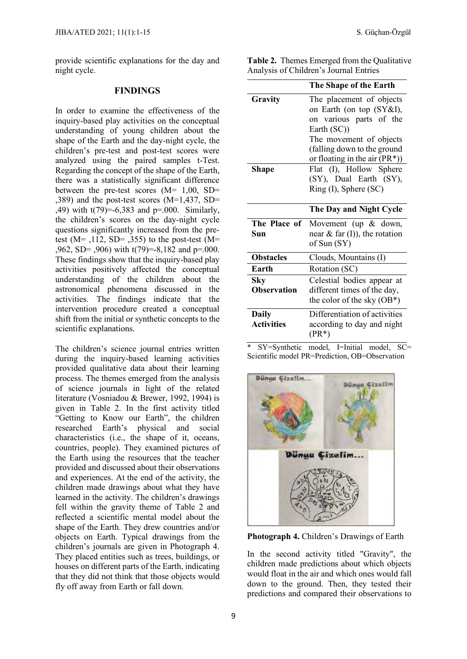provide scientific explanations for the day and night cycle.

# **FINDINGS**

In order to examine the effectiveness of the inquiry-based play activities on the conceptual understanding of young children about the shape of the Earth and the day-night cycle, the children's pre-test and post-test scores were analyzed using the paired samples t-Test. Regarding the concept of the shape of the Earth, there was a statistically significant difference between the pre-test scores  $(M= 1,00, SD=$ ,389) and the post-test scores (M=1,437, SD= ,49) with t(79)=-6,383 and p=.000. Similarly, the children's scores on the day-night cycle questions significantly increased from the pretest ( $M$ = ,112, SD= ,355) to the post-test ( $M$ = ,962, SD= ,906) with  $t(79)$ =-8,182 and p=.000. These findings show that the inquiry-based play activities positively affected the conceptual understanding of the children about the astronomical phenomena discussed in the activities. The findings indicate that the intervention procedure created a conceptual shift from the initial or synthetic concepts to the scientific explanations.

The children's science journal entries written during the inquiry-based learning activities provided qualitative data about their learning process. The themes emerged from the analysis of science journals in light of the related literature (Vosniadou & Brewer, 1992, 1994) is given in Table 2. In the first activity titled "Getting to Know our Earth", the children researched Earth's physical and social characteristics (i.e., the shape of it, oceans, countries, people). They examined pictures of the Earth using the resources that the teacher provided and discussed about their observations and experiences. At the end of the activity, the children made drawings about what they have learned in the activity. The children's drawings fell within the gravity theme of Table 2 and reflected a scientific mental model about the shape of the Earth. They drew countries and/or objects on Earth. Typical drawings from the children's journals are given in Photograph 4. They placed entities such as trees, buildings, or houses on different parts of the Earth, indicating that they did not think that those objects would fly off away from Earth or fall down.

**Table 2.** Themes Emerged from the Qualitative Analysis of Children's Journal Entries

|                           | The Shape of the Earth                                                                                                                                                                                                                                                          |
|---------------------------|---------------------------------------------------------------------------------------------------------------------------------------------------------------------------------------------------------------------------------------------------------------------------------|
| Gravity<br>Shape          | The placement of objects<br>on Earth (on top (SY&I),<br>on various parts of the<br>Earth (SC))<br>The movement of objects<br>(falling down to the ground<br>or floating in the air $(PR^*))$<br>Flat (I), Hollow Sphere<br>(SY), Dual Earth (SY),<br>$Ring (I)$ , Sphere $(SC)$ |
|                           |                                                                                                                                                                                                                                                                                 |
|                           | The Day and Night Cycle                                                                                                                                                                                                                                                         |
|                           |                                                                                                                                                                                                                                                                                 |
| The Place of<br>Sun       | Movement (up $\&$ down,<br>near $\&$ far (I)), the rotation<br>of Sun (SY)                                                                                                                                                                                                      |
| <b>Obstacles</b>          | Clouds, Mountains (I)                                                                                                                                                                                                                                                           |
| Earth                     | Rotation (SC)                                                                                                                                                                                                                                                                   |
| Sky<br><b>Observation</b> | Celestial bodies appear at<br>different times of the day,<br>the color of the sky $(OB^*)$                                                                                                                                                                                      |

 $SY = Synthetic \text{ model}, \text{I} = Initial \text{ model}, \text{SC} =$ Scientific model PR=Prediction, OB=Observation



**Photograph 4.** Children's Drawings of Earth

In the second activity titled "Gravity", the children made predictions about which objects would float in the air and which ones would fall down to the ground. Then, they tested their predictions and compared their observations to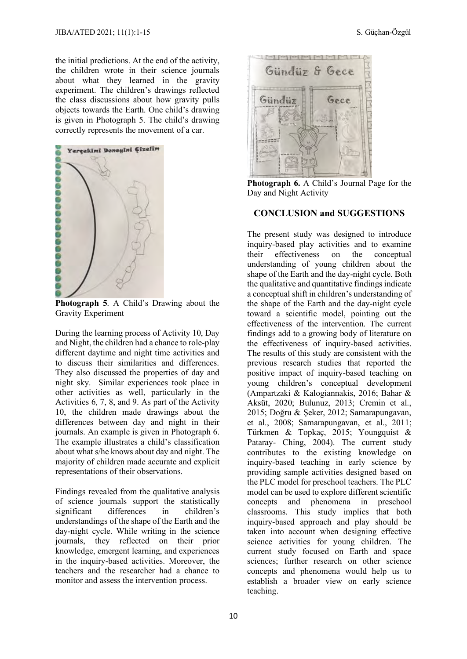the initial predictions. At the end of the activity, the children wrote in their science journals about what they learned in the gravity experiment. The children's drawings reflected the class discussions about how gravity pulls objects towards the Earth. One child's drawing is given in Photograph 5. The child's drawing correctly represents the movement of a car.



**Photograph 5**. A Child's Drawing about the Gravity Experiment

During the learning process of Activity 10, Day and Night, the children had a chance to role-play different daytime and night time activities and to discuss their similarities and differences. They also discussed the properties of day and night sky. Similar experiences took place in other activities as well, particularly in the Activities 6, 7, 8, and 9. As part of the Activity 10, the children made drawings about the differences between day and night in their journals. An example is given in Photograph 6. The example illustrates a child's classification about what s/he knows about day and night. The majority of children made accurate and explicit representations of their observations.

Findings revealed from the qualitative analysis of science journals support the statistically significant differences in children's understandings of the shape of the Earth and the day-night cycle. While writing in the science journals, they reflected on their prior knowledge, emergent learning, and experiences in the inquiry-based activities. Moreover, the teachers and the researcher had a chance to monitor and assess the intervention process.



**Photograph 6.** A Child's Journal Page for the Day and Night Activity

## **CONCLUSION and SUGGESTIONS**

The present study was designed to introduce inquiry-based play activities and to examine their effectiveness on the conceptual understanding of young children about the shape of the Earth and the day-night cycle. Both the qualitative and quantitative findings indicate a conceptual shift in children's understanding of the shape of the Earth and the day-night cycle toward a scientific model, pointing out the effectiveness of the intervention. The current findings add to a growing body of literature on the effectiveness of inquiry-based activities. The results of this study are consistent with the previous research studies that reported the positive impact of inquiry-based teaching on young children's conceptual development (Ampartzaki & Kalogiannakis, 2016; Bahar & Aksüt, 2020; Bulunuz, 2013; Cremin et al., 2015; Doğru & Şeker, 2012; Samarapungavan, et al., 2008; Samarapungavan, et al., 2011; Türkmen & Topkaç, 2015; Youngquist & Pataray- Ching, 2004). The current study contributes to the existing knowledge on inquiry-based teaching in early science by providing sample activities designed based on the PLC model for preschool teachers. The PLC model can be used to explore different scientific concepts and phenomena in preschool classrooms. This study implies that both inquiry-based approach and play should be taken into account when designing effective science activities for young children. The current study focused on Earth and space sciences; further research on other science concepts and phenomena would help us to establish a broader view on early science teaching.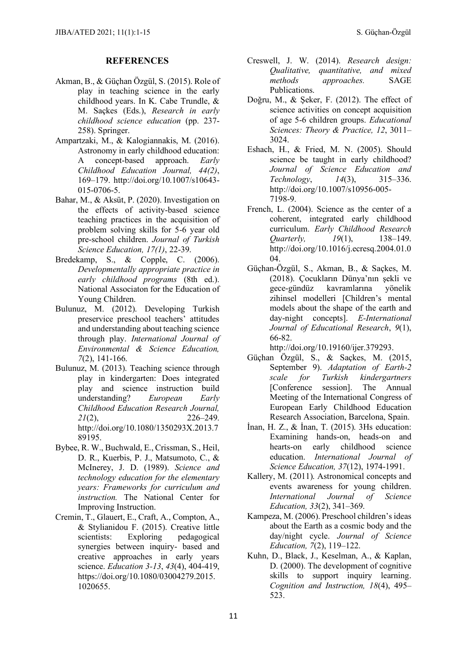#### **REFERENCES**

- Akman, B., & Güçhan Özgül, S. (2015). Role of play in teaching science in the early childhood years. In K. Cabe Trundle, & M. Saçkes (Eds.), *Research in early childhood science education* (pp. 237- 258). Springer.
- Ampartzaki, M., & Kalogiannakis, M. (2016). Astronomy in early childhood education:<br>A concent-based approach. *Early* A concept-based approach. *Early Childhood Education Journal, 44(2)*, 169–179. [http://doi.org/10.1007/s10643-](http://doi.org/10.1007/s10643-015-0706-5) [015-0706-5.](http://doi.org/10.1007/s10643-015-0706-5)
- Bahar, M., & Aksüt, P. (2020). Investigation on the effects of activity-based science teaching practices in the acquisition of problem solving skills for 5-6 year old pre-school children. *Journal of Turkish Science Education, 17(1)*, 22-39.
- Bredekamp, S., & Copple, C. (2006). *Developmentally appropriate practice in early childhood programs* (8th ed.). National Associaton for the Education of Young Children.
- Bulunuz, M. (2012). Developing Turkish preservice preschool teachers' attitudes and understanding about teaching science through play. *International Journal of Environmental & Science Education, 7*(2), 141-166.
- Bulunuz, M. (2013). Teaching science through play in kindergarten: Does integrated play and science instruction build understanding? *European Early Childhood Education Research Journal, 21*(2), 226–249. [http://doi.org/10.1080/1350293X.2013.7](http://doi.org/10.1080/1350293X.2013.789195) [89195.](http://doi.org/10.1080/1350293X.2013.789195)
- Bybee, R. W., Buchwald, E., Crissman, S., Heil, D. R., Kuerbis, P. J., Matsumoto, C., & McInerey, J. D. (1989). *Science and technology education for the elementary years: Frameworks for curriculum and instruction.* The National Center for Improving Instruction.
- Cremin, T., Glauert, E., Craft, A., Compton, A., & Stylianidou F. (2015). Creative little scientists: Exploring pedagogical synergies between inquiry- based and creative approaches in early years science. *Education 3-13*, *43*(4), 404-419, [https://doi.org/10.1080/03004279.2015.](https://doi.org/10.1080/03004279.2015.1020655) [1020655.](https://doi.org/10.1080/03004279.2015.1020655)
- Creswell, J. W. (2014). *Research design: Qualitative, quantitative, and mixed methods approaches.* SAGE Publications.
- Doǧru, M., & Şeker, F. (2012). The effect of science activities on concept acquisition of age 5-6 children groups. *Educational Sciences: Theory & Practice, 12*, 3011– 3024.
- Eshach, H., & Fried, M. N. (2005). Should science be taught in early childhood? *Journal of Science Education and*   $Technology, 14(3),$ [http://doi.org/10.1007/s10956-005-](http://doi.org/10.1007/s10956-005-7198-9) [7198-9.](http://doi.org/10.1007/s10956-005-7198-9)
- French, L. (2004). Science as the center of a coherent, integrated early childhood curriculum. *Early Childhood Research Quarterly, 19(1), 138–149.* [http://doi.org/10.1016/j.ecresq.2004.01.0](http://doi.org/10.1016/j.ecresq.2004.01.004) [04.](http://doi.org/10.1016/j.ecresq.2004.01.004)
- Güçhan-Özgül, S., Akman, B., & Saçkes, M. (2018). Çocukların Dünya'nın şekli ve gece-gündüz kavramlarına yönelik zihinsel modelleri [Children's mental models about the shape of the earth and day-night concepts]. *E-International Journal of Educational Research*, *9*(1), 66-82.

[http://doi.org/10.19160/ijer.379293.](http://doi.org/10.19160/ijer.379293)

- Güçhan Özgül, S., & Saçkes, M. (2015, September 9). *Adaptation of Earth-2 scale for Turkish kindergartners* [Conference session]. The Annual Meeting of the International Congress of European Early Childhood Education Research Association, Barcelona, Spain.
- İnan, H. Z., & İnan, T. (2015). 3Hs education: Examining hands-on, heads-on and hearts-on early childhood science education. *International Journal of Science Education, 37*(12), 1974-1991.
- Kallery, M. (2011). Astronomical concepts and events awareness for young children. *International Journal of Science Education, 33*(2), 341–369.
- Kampeza, M. (2006). Preschool children's ideas about the Earth as a cosmic body and the day/night cycle. *Journal of Science Education, 7*(2), 119–122.
- Kuhn, D., Black, J., Keselman, A., & Kaplan, D. (2000). The development of cognitive skills to support inquiry learning. *Cognition and Instruction, 18*(4), 495– 523.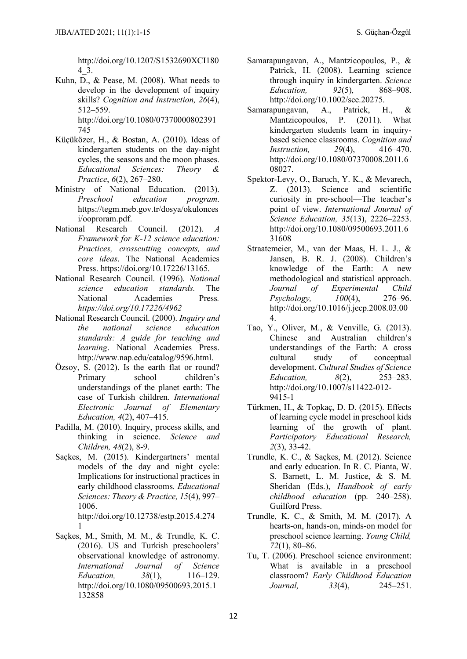[http://doi.org/10.1207/S1532690XCI180](http://doi.org/10.1207/S1532690XCI1804_3) [4\\_3.](http://doi.org/10.1207/S1532690XCI1804_3)

- Kuhn, D., & Pease, M. (2008). What needs to develop in the development of inquiry skills? *Cognition and Instruction, 26*(4), 512–559. [http://doi.org/10.1080/07370000802391](http://doi.org/10.1080/07370000802391745) [745](http://doi.org/10.1080/07370000802391745)
- Küçüközer, H., & Bostan, A. (2010). Ideas of kindergarten students on the day-night cycles, the seasons and the moon phases. *Educational Sciences: Theory & Practice*, *6*(2), 267–280.
- Ministry of National Education. (2013).<br>*Preschool education program. Preschool education* https://tegm.meb.gov.tr/dosya/okulonces i/ooproram.pdf.
- National Research Council. (2012). *A Framework for K-12 science education: Practices, crosscutting concepts, and core ideas*. The National Academies Press. [https://doi.org/10.17226/13165.](https://doi.org/10.17226/13165)
- National Research Council. (1996). *National science education standards.* The National Academies Press*. https://doi.org/10.17226/4962*
- National Research Council. (2000). *Inquiry and the national science education standards: A guide for teaching and learning*. National Academies Press. [http://www.nap.edu/catalog/9596.html.](http://www.nap.edu/catalog/9596.html)
- Özsoy, S. (2012). Is the earth flat or round? Primary school children's understandings of the planet earth: The case of Turkish children. *International Electronic Journal of Elementary Education, 4*(2), 407–415.
- Padilla, M. (2010). Inquiry, process skills, and thinking in science. *Science and Children, 48*(2), 8-9.
- Saçkes, M. (2015). Kindergartners' mental models of the day and night cycle: Implications for instructional practices in early childhood classrooms. *Educational Sciences: Theory & Practice, 15*(4), 997– 1006. http://doi.org/10.12738/estp.2015.4.274 1
- Saçkes, M., Smith, M. M., & Trundle, K. C. (2016). US and Turkish preschoolers' observational knowledge of astronomy. *International Journal of Science Education, 38*(1), 116–129. http://doi.org/10.1080/09500693.2015.1 132858
- Samarapungavan, A., Mantzicopoulos, P., & Patrick, H. (2008). Learning science through inquiry in kindergarten. *Science Education, 92*(5), 868–908. [http://doi.org/10.1002/sce.20275.](http://doi.org/10.1002/sce.20275)
- Samarapungavan, A., Patrick, H., & Mantzicopoulos, P. (2011). What kindergarten students learn in inquirybased science classrooms. *Cognition and Instruction.* 29(4), 416–470. [http://doi.org/10.1080/07370008.2011.6](http://doi.org/10.1080/07370008.2011.608027) [08027.](http://doi.org/10.1080/07370008.2011.608027)
- Spektor-Levy, O., Baruch, Y. K., & Mevarech, Z. (2013). Science and scientific curiosity in pre-school—The teacher's point of view. *International Journal of Science Education, 35*(13), 2226–2253. [http://doi.org/10.1080/09500693.2011.6](http://doi.org/10.1080/09500693.2011.631608) [31608](http://doi.org/10.1080/09500693.2011.631608)
- Straatemeier, M., van der Maas, H. L. J., & Jansen, B. R. J. (2008). Children's knowledge of the Earth: A new methodological and statistical approach. *Journal of Experimental Child Psychology, 100*(4), 276–96. [http://doi.org/10.1016/j.jecp.2008.03.00](http://doi.org/10.1016/j.jecp.2008.03.004) [4.](http://doi.org/10.1016/j.jecp.2008.03.004)
- Tao, Y., Oliver, M., & Venville, G. (2013). Chinese and Australian children's understandings of the Earth: A cross cultural study of conceptual development. *Cultural Studies of Science Education, 8*(2), 253–283. http://doi.org/10.1007/s11422-012- 9415-1
- Türkmen, H., & Topkaç, D. D. (2015). Effects of learning cycle model in preschool kids learning of the growth of plant. *Participatory Educational Research, 2*(3), 33-42.
- Trundle, K. C., & Saçkes, M. (2012). Science and early education. In R. C. Pianta, W. S. Barnett, L. M. Justice, & S. M. Sheridan (Eds.), *Handbook of early childhood education* (pp. 240–258). Guilford Press.
- Trundle, K. C., & Smith, M. M. (2017). A hearts-on, hands-on, minds-on model for preschool science learning. *Young Child, 72*(1), 80–86.
- Tu, T. (2006). Preschool science environment: What is available in a preschool classroom? *Early Childhood Education Journal, 33*(4), 245–251.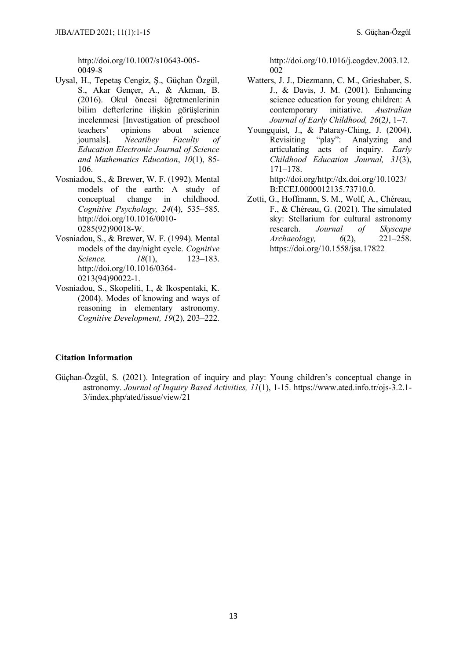http://doi.org/10.1007/s10643-005- 0049-8

- Uysal, H., Tepetaş Cengiz, Ş., Güçhan Özgül, S., Akar Gençer, A., & Akman, B. (2016). Okul öncesi öğretmenlerinin bilim defterlerine ilişkin görüşlerinin incelenmesi [Investigation of preschool teachers' opinions about science journals]. *Necatibey Faculty of Education Electronic Journal of Science and Mathematics Education*, *10*(1), 85- 106.
- Vosniadou, S., & Brewer, W. F. (1992). Mental models of the earth: A study of conceptual change in childhood. *Cognitive Psychology, 24*(4), 535–585. [http://doi.org/10.1016/0010-](http://doi.org/10.1016/0010-0285(92)90018-W) [0285\(92\)90018-W.](http://doi.org/10.1016/0010-0285(92)90018-W)
- Vosniadou, S., & Brewer, W. F. (1994). Mental models of the day/night cycle. *Cognitive Science, 18*(1), 123–183. [http://doi.org/10.1016/0364-](http://doi.org/10.1016/0364-0213(94)90022-1) [0213\(94\)90022-1.](http://doi.org/10.1016/0364-0213(94)90022-1)
- Vosniadou, S., Skopeliti, I., & Ikospentaki, K. (2004). Modes of knowing and ways of reasoning in elementary astronomy. *Cognitive Development, 19*(2), 203–222.

[http://doi.org/10.1016/j.cogdev.2003.12.](http://doi.org/10.1016/j.cogdev.2003.12.002) [002](http://doi.org/10.1016/j.cogdev.2003.12.002)

- Watters, J. J., Diezmann, C. M., Grieshaber, S. J., & Davis, J. M. (2001). Enhancing science education for young children: A contemporary initiative. *Australian Journal of Early Childhood, 26*(2*)*, 1–7.
- Youngquist, J., & Pataray-Ching, J. (2004). Revisiting "play": Analyzing and articulating acts of inquiry. *Early Childhood Education Journal, 31*(3), 171–178. [http://doi.org/http://dx.doi.org/10.1023/](http://doi.org/http:/dx.doi.org/10.1023/B:ECEJ.0000012135.73710.0) [B:ECEJ.0000012135.73710.0.](http://doi.org/http:/dx.doi.org/10.1023/B:ECEJ.0000012135.73710.0)
- Zotti, G., Hoffmann, S. M., Wolf, A., Chéreau, F., & Chéreau, G. (2021). The simulated sky: Stellarium for cultural astronomy research. *Journal of Skyscape Archaeology,*  $6(2)$ , <https://doi.org/10.1558/jsa.17822>

# **Citation Information**

Güçhan-Özgül, S. (2021). Integration of inquiry and play: Young children's conceptual change in astronomy. *Journal of Inquiry Based Activities, 11*(1), 1-15. https://www.ated.info.tr/ojs-3.2.1- 3/index.php/ated/issue/view/21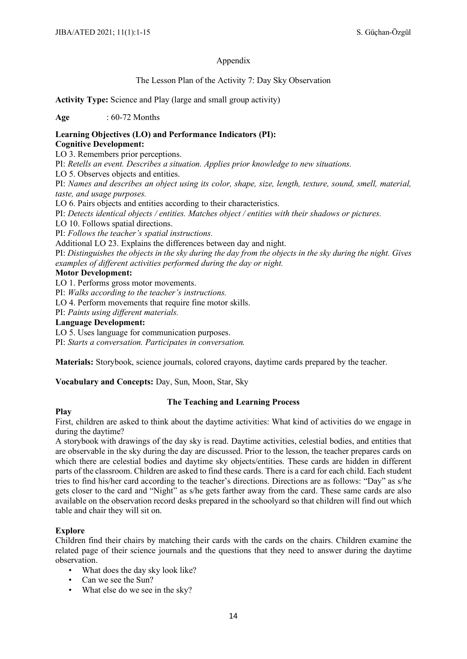# Appendix

## The Lesson Plan of the Activity 7: Day Sky Observation

**Activity Type:** Science and Play (large and small group activity)

**Age** : 60-72 Months

#### **Learning Objectives (LO) and Performance Indicators (PI): Cognitive Development:**

LO 3. Remembers prior perceptions.

PI: *Retells an event. Describes a situation. Applies prior knowledge to new situations.*

LO 5. Observes objects and entities.

PI: *Names and describes an object using its color, shape, size, length, texture, sound, smell, material, taste, and usage purposes.*

LO 6. Pairs objects and entities according to their characteristics.

PI: *Detects identical objects / entities. Matches object / entities with their shadows or pictures.*

LO 10. Follows spatial directions.

PI: *Follows the teacher's spatial instructions.*

Additional LO 23. Explains the differences between day and night.

PI: *Distinguishes the objects in the sky during the day from the objects in the sky during the night. Gives examples of different activities performed during the day or night.*

## **Motor Development:**

LO 1. Performs gross motor movements.

PI: *Walks according to the teacher's instructions.*

LO 4. Perform movements that require fine motor skills.

PI: *Paints using different materials.*

## **Language Development:**

LO 5. Uses language for communication purposes.

PI: *Starts a conversation. Participates in conversation.*

**Materials:** Storybook, science journals, colored crayons, daytime cards prepared by the teacher.

**Vocabulary and Concepts:** Day, Sun, Moon, Star, Sky

#### **Play**

# **The Teaching and Learning Process**

First, children are asked to think about the daytime activities: What kind of activities do we engage in during the daytime?

A storybook with drawings of the day sky is read. Daytime activities, celestial bodies, and entities that are observable in the sky during the day are discussed. Prior to the lesson, the teacher prepares cards on which there are celestial bodies and daytime sky objects/entities. These cards are hidden in different parts of the classroom. Children are asked to find these cards. There is a card for each child. Each student tries to find his/her card according to the teacher's directions. Directions are as follows: "Day" as s/he gets closer to the card and "Night" as s/he gets farther away from the card. These same cards are also available on the observation record desks prepared in the schoolyard so that children will find out which table and chair they will sit on.

# **Explore**

Children find their chairs by matching their cards with the cards on the chairs. Children examine the related page of their science journals and the questions that they need to answer during the daytime observation.

- What does the day sky look like?
- Can we see the Sun?
- What else do we see in the sky?